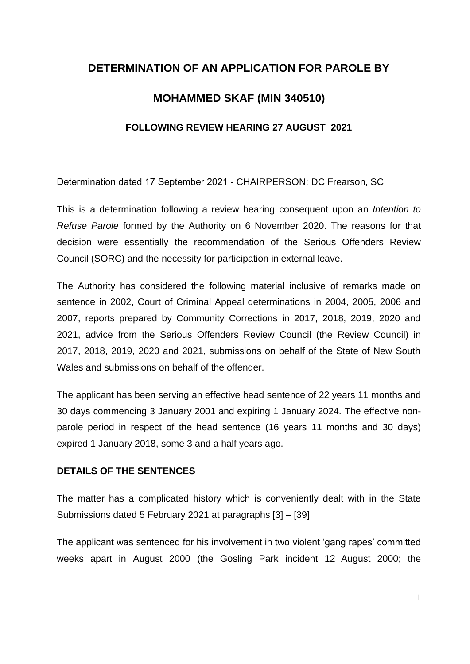# **DETERMINATION OF AN APPLICATION FOR PAROLE BY**

# **MOHAMMED SKAF (MIN 340510)**

#### **FOLLOWING REVIEW HEARING 27 AUGUST 2021**

Determination dated 17 September 2021 - CHAIRPERSON: DC Frearson, SC

This is a determination following a review hearing consequent upon an *Intention to Refuse Parole* formed by the Authority on 6 November 2020. The reasons for that decision were essentially the recommendation of the Serious Offenders Review Council (SORC) and the necessity for participation in external leave.

The Authority has considered the following material inclusive of remarks made on sentence in 2002, Court of Criminal Appeal determinations in 2004, 2005, 2006 and 2007, reports prepared by Community Corrections in 2017, 2018, 2019, 2020 and 2021, advice from the Serious Offenders Review Council (the Review Council) in 2017, 2018, 2019, 2020 and 2021, submissions on behalf of the State of New South Wales and submissions on behalf of the offender.

The applicant has been serving an effective head sentence of 22 years 11 months and 30 days commencing 3 January 2001 and expiring 1 January 2024. The effective nonparole period in respect of the head sentence (16 years 11 months and 30 days) expired 1 January 2018, some 3 and a half years ago.

### **DETAILS OF THE SENTENCES**

The matter has a complicated history which is conveniently dealt with in the State Submissions dated 5 February 2021 at paragraphs [3] – [39]

The applicant was sentenced for his involvement in two violent 'gang rapes' committed weeks apart in August 2000 (the Gosling Park incident 12 August 2000; the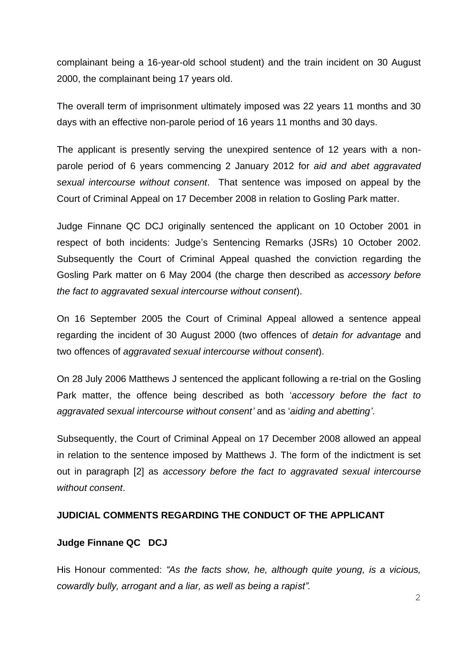complainant being a 16-year-old school student) and the train incident on 30 August 2000, the complainant being 17 years old.

The overall term of imprisonment ultimately imposed was 22 years 11 months and 30 days with an effective non-parole period of 16 years 11 months and 30 days.

The applicant is presently serving the unexpired sentence of 12 years with a nonparole period of 6 years commencing 2 January 2012 for *aid and abet aggravated sexual intercourse without consent*. That sentence was imposed on appeal by the Court of Criminal Appeal on 17 December 2008 in relation to Gosling Park matter.

Judge Finnane QC DCJ originally sentenced the applicant on 10 October 2001 in respect of both incidents: Judge's Sentencing Remarks (JSRs) 10 October 2002. Subsequently the Court of Criminal Appeal quashed the conviction regarding the Gosling Park matter on 6 May 2004 (the charge then described as *accessory before the fact to aggravated sexual intercourse without consent*).

On 16 September 2005 the Court of Criminal Appeal allowed a sentence appeal regarding the incident of 30 August 2000 (two offences of *detain for advantage* and two offences of *aggravated sexual intercourse without consent*).

On 28 July 2006 Matthews J sentenced the applicant following a re-trial on the Gosling Park matter, the offence being described as both '*accessory before the fact to aggravated sexual intercourse without consent'* and as '*aiding and abetting'*.

Subsequently, the Court of Criminal Appeal on 17 December 2008 allowed an appeal in relation to the sentence imposed by Matthews J. The form of the indictment is set out in paragraph [2] as *accessory before the fact to aggravated sexual intercourse without consent*.

#### **JUDICIAL COMMENTS REGARDING THE CONDUCT OF THE APPLICANT**

#### **Judge Finnane QC DCJ**

His Honour commented: *"As the facts show, he, although quite young, is a vicious, cowardly bully, arrogant and a liar, as well as being a rapist".*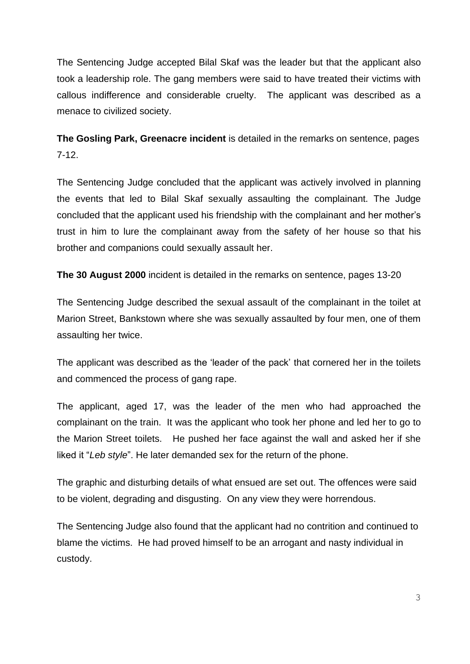The Sentencing Judge accepted Bilal Skaf was the leader but that the applicant also took a leadership role. The gang members were said to have treated their victims with callous indifference and considerable cruelty. The applicant was described as a menace to civilized society.

**The Gosling Park, Greenacre incident** is detailed in the remarks on sentence, pages 7-12.

The Sentencing Judge concluded that the applicant was actively involved in planning the events that led to Bilal Skaf sexually assaulting the complainant. The Judge concluded that the applicant used his friendship with the complainant and her mother's trust in him to lure the complainant away from the safety of her house so that his brother and companions could sexually assault her.

**The 30 August 2000** incident is detailed in the remarks on sentence, pages 13-20

The Sentencing Judge described the sexual assault of the complainant in the toilet at Marion Street, Bankstown where she was sexually assaulted by four men, one of them assaulting her twice.

The applicant was described as the 'leader of the pack' that cornered her in the toilets and commenced the process of gang rape.

The applicant, aged 17, was the leader of the men who had approached the complainant on the train. It was the applicant who took her phone and led her to go to the Marion Street toilets. He pushed her face against the wall and asked her if she liked it "*Leb style*". He later demanded sex for the return of the phone.

The graphic and disturbing details of what ensued are set out. The offences were said to be violent, degrading and disgusting. On any view they were horrendous.

The Sentencing Judge also found that the applicant had no contrition and continued to blame the victims. He had proved himself to be an arrogant and nasty individual in custody.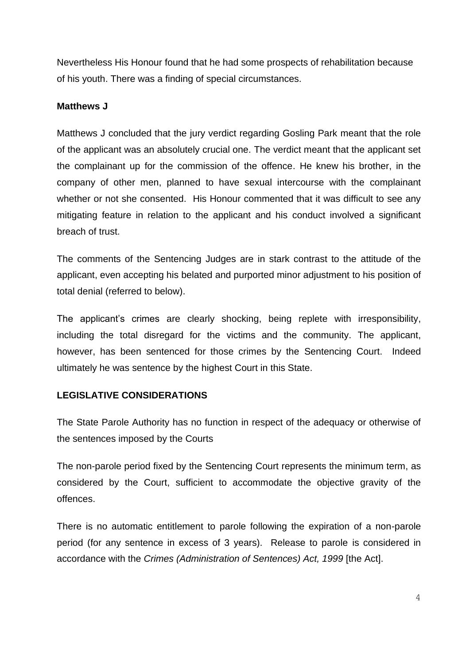Nevertheless His Honour found that he had some prospects of rehabilitation because of his youth. There was a finding of special circumstances.

### **Matthews J**

Matthews J concluded that the jury verdict regarding Gosling Park meant that the role of the applicant was an absolutely crucial one. The verdict meant that the applicant set the complainant up for the commission of the offence. He knew his brother, in the company of other men, planned to have sexual intercourse with the complainant whether or not she consented. His Honour commented that it was difficult to see any mitigating feature in relation to the applicant and his conduct involved a significant breach of trust.

The comments of the Sentencing Judges are in stark contrast to the attitude of the applicant, even accepting his belated and purported minor adjustment to his position of total denial (referred to below).

The applicant's crimes are clearly shocking, being replete with irresponsibility, including the total disregard for the victims and the community. The applicant, however, has been sentenced for those crimes by the Sentencing Court. Indeed ultimately he was sentence by the highest Court in this State.

## **LEGISLATIVE CONSIDERATIONS**

The State Parole Authority has no function in respect of the adequacy or otherwise of the sentences imposed by the Courts

The non-parole period fixed by the Sentencing Court represents the minimum term, as considered by the Court, sufficient to accommodate the objective gravity of the offences.

There is no automatic entitlement to parole following the expiration of a non-parole period (for any sentence in excess of 3 years). Release to parole is considered in accordance with the *Crimes (Administration of Sentences) Act, 1999* [the Act].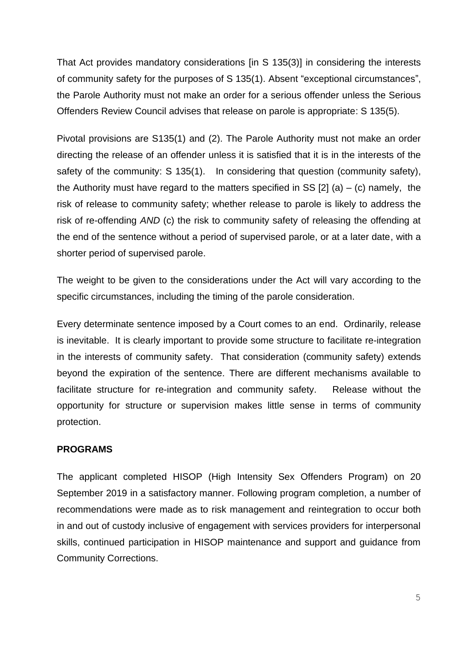That Act provides mandatory considerations [in S 135(3)] in considering the interests of community safety for the purposes of S 135(1). Absent "exceptional circumstances", the Parole Authority must not make an order for a serious offender unless the Serious Offenders Review Council advises that release on parole is appropriate: S 135(5).

Pivotal provisions are S135(1) and (2). The Parole Authority must not make an order directing the release of an offender unless it is satisfied that it is in the interests of the safety of the community: S 135(1). In considering that question (community safety), the Authority must have regard to the matters specified in SS  $[2]$  (a) – (c) namely, the risk of release to community safety; whether release to parole is likely to address the risk of re-offending *AND* (c) the risk to community safety of releasing the offending at the end of the sentence without a period of supervised parole, or at a later date, with a shorter period of supervised parole.

The weight to be given to the considerations under the Act will vary according to the specific circumstances, including the timing of the parole consideration.

Every determinate sentence imposed by a Court comes to an end. Ordinarily, release is inevitable. It is clearly important to provide some structure to facilitate re-integration in the interests of community safety. That consideration (community safety) extends beyond the expiration of the sentence. There are different mechanisms available to facilitate structure for re-integration and community safety. Release without the opportunity for structure or supervision makes little sense in terms of community protection.

#### **PROGRAMS**

The applicant completed HISOP (High Intensity Sex Offenders Program) on 20 September 2019 in a satisfactory manner. Following program completion, a number of recommendations were made as to risk management and reintegration to occur both in and out of custody inclusive of engagement with services providers for interpersonal skills, continued participation in HISOP maintenance and support and guidance from Community Corrections.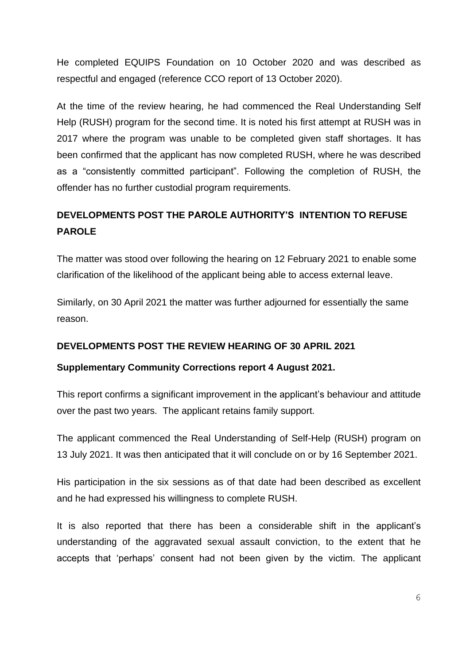He completed EQUIPS Foundation on 10 October 2020 and was described as respectful and engaged (reference CCO report of 13 October 2020).

At the time of the review hearing, he had commenced the Real Understanding Self Help (RUSH) program for the second time. It is noted his first attempt at RUSH was in 2017 where the program was unable to be completed given staff shortages. It has been confirmed that the applicant has now completed RUSH, where he was described as a "consistently committed participant". Following the completion of RUSH, the offender has no further custodial program requirements.

# **DEVELOPMENTS POST THE PAROLE AUTHORITY'S INTENTION TO REFUSE PAROLE**

The matter was stood over following the hearing on 12 February 2021 to enable some clarification of the likelihood of the applicant being able to access external leave.

Similarly, on 30 April 2021 the matter was further adjourned for essentially the same reason.

## **DEVELOPMENTS POST THE REVIEW HEARING OF 30 APRIL 2021**

#### **Supplementary Community Corrections report 4 August 2021.**

This report confirms a significant improvement in the applicant's behaviour and attitude over the past two years. The applicant retains family support.

The applicant commenced the Real Understanding of Self-Help (RUSH) program on 13 July 2021. It was then anticipated that it will conclude on or by 16 September 2021.

His participation in the six sessions as of that date had been described as excellent and he had expressed his willingness to complete RUSH.

It is also reported that there has been a considerable shift in the applicant's understanding of the aggravated sexual assault conviction, to the extent that he accepts that 'perhaps' consent had not been given by the victim. The applicant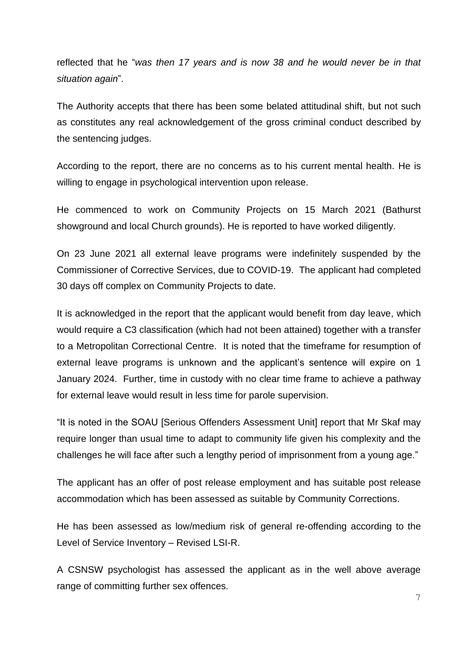reflected that he "*was then 17 years and is now 38 and he would never be in that situation again*".

The Authority accepts that there has been some belated attitudinal shift, but not such as constitutes any real acknowledgement of the gross criminal conduct described by the sentencing judges.

According to the report, there are no concerns as to his current mental health. He is willing to engage in psychological intervention upon release.

He commenced to work on Community Projects on 15 March 2021 (Bathurst showground and local Church grounds). He is reported to have worked diligently.

On 23 June 2021 all external leave programs were indefinitely suspended by the Commissioner of Corrective Services, due to COVID-19. The applicant had completed 30 days off complex on Community Projects to date.

It is acknowledged in the report that the applicant would benefit from day leave, which would require a C3 classification (which had not been attained) together with a transfer to a Metropolitan Correctional Centre. It is noted that the timeframe for resumption of external leave programs is unknown and the applicant's sentence will expire on 1 January 2024. Further, time in custody with no clear time frame to achieve a pathway for external leave would result in less time for parole supervision.

"It is noted in the SOAU [Serious Offenders Assessment Unit] report that Mr Skaf may require longer than usual time to adapt to community life given his complexity and the challenges he will face after such a lengthy period of imprisonment from a young age."

The applicant has an offer of post release employment and has suitable post release accommodation which has been assessed as suitable by Community Corrections.

He has been assessed as low/medium risk of general re-offending according to the Level of Service Inventory – Revised LSI-R.

A CSNSW psychologist has assessed the applicant as in the well above average range of committing further sex offences.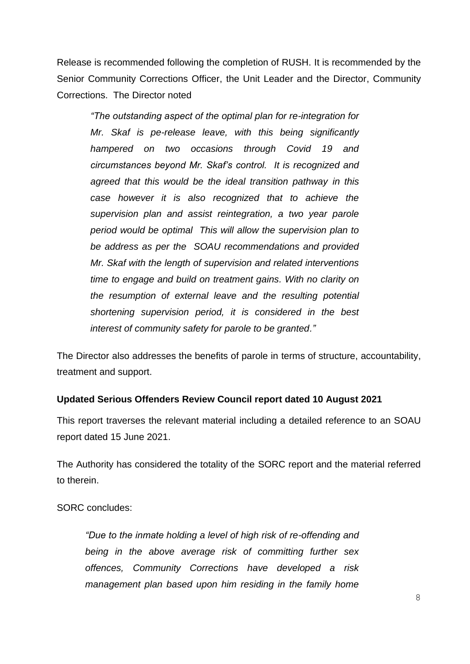Release is recommended following the completion of RUSH. It is recommended by the Senior Community Corrections Officer, the Unit Leader and the Director, Community Corrections. The Director noted

*"The outstanding aspect of the optimal plan for re-integration for Mr. Skaf is pe-release leave, with this being significantly hampered on two occasions through Covid 19 and circumstances beyond Mr. Skaf's control. It is recognized and agreed that this would be the ideal transition pathway in this case however it is also recognized that to achieve the supervision plan and assist reintegration, a two year parole period would be optimal This will allow the supervision plan to be address as per the SOAU recommendations and provided Mr. Skaf with the length of supervision and related interventions time to engage and build on treatment gains. With no clarity on the resumption of external leave and the resulting potential shortening supervision period, it is considered in the best interest of community safety for parole to be granted."* 

The Director also addresses the benefits of parole in terms of structure, accountability, treatment and support.

## **Updated Serious Offenders Review Council report dated 10 August 2021**

This report traverses the relevant material including a detailed reference to an SOAU report dated 15 June 2021.

The Authority has considered the totality of the SORC report and the material referred to therein.

SORC concludes:

*"Due to the inmate holding a level of high risk of re-offending and being in the above average risk of committing further sex offences, Community Corrections have developed a risk management plan based upon him residing in the family home*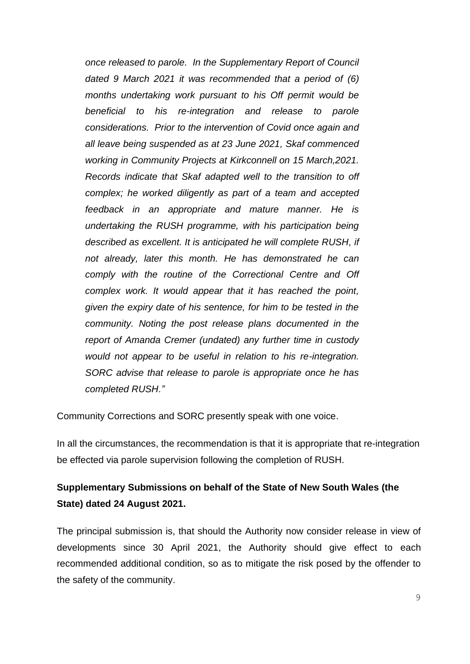*once released to parole. In the Supplementary Report of Council dated 9 March 2021 it was recommended that a period of (6) months undertaking work pursuant to his Off permit would be beneficial to his re-integration and release to parole considerations. Prior to the intervention of Covid once again and all leave being suspended as at 23 June 2021, Skaf commenced working in Community Projects at Kirkconnell on 15 March,2021. Records indicate that Skaf adapted well to the transition to off complex; he worked diligently as part of a team and accepted feedback in an appropriate and mature manner. He is undertaking the RUSH programme, with his participation being described as excellent. It is anticipated he will complete RUSH, if not already, later this month. He has demonstrated he can comply with the routine of the Correctional Centre and Off complex work. It would appear that it has reached the point, given the expiry date of his sentence, for him to be tested in the community. Noting the post release plans documented in the report of Amanda Cremer (undated) any further time in custody would not appear to be useful in relation to his re-integration. SORC advise that release to parole is appropriate once he has completed RUSH."*

Community Corrections and SORC presently speak with one voice.

In all the circumstances, the recommendation is that it is appropriate that re-integration be effected via parole supervision following the completion of RUSH.

# **Supplementary Submissions on behalf of the State of New South Wales (the State) dated 24 August 2021.**

The principal submission is, that should the Authority now consider release in view of developments since 30 April 2021, the Authority should give effect to each recommended additional condition, so as to mitigate the risk posed by the offender to the safety of the community.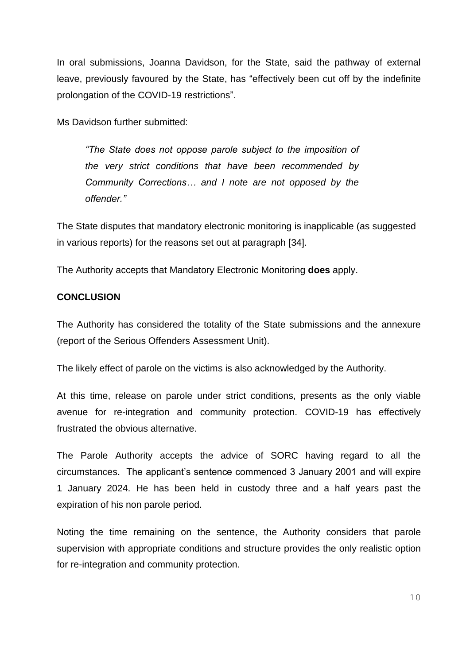In oral submissions, Joanna Davidson, for the State, said the pathway of external leave, previously favoured by the State, has "effectively been cut off by the indefinite prolongation of the COVID-19 restrictions".

Ms Davidson further submitted:

*"The State does not oppose parole subject to the imposition of the very strict conditions that have been recommended by Community Corrections… and I note are not opposed by the offender."* 

The State disputes that mandatory electronic monitoring is inapplicable (as suggested in various reports) for the reasons set out at paragraph [34].

The Authority accepts that Mandatory Electronic Monitoring **does** apply.

#### **CONCLUSION**

The Authority has considered the totality of the State submissions and the annexure (report of the Serious Offenders Assessment Unit).

The likely effect of parole on the victims is also acknowledged by the Authority.

At this time, release on parole under strict conditions, presents as the only viable avenue for re-integration and community protection. COVID-19 has effectively frustrated the obvious alternative.

The Parole Authority accepts the advice of SORC having regard to all the circumstances. The applicant's sentence commenced 3 January 2001 and will expire 1 January 2024. He has been held in custody three and a half years past the expiration of his non parole period.

Noting the time remaining on the sentence, the Authority considers that parole supervision with appropriate conditions and structure provides the only realistic option for re-integration and community protection.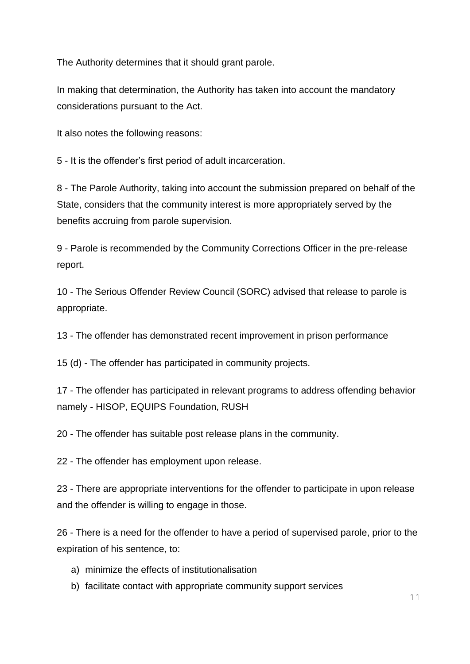The Authority determines that it should grant parole.

In making that determination, the Authority has taken into account the mandatory considerations pursuant to the Act.

It also notes the following reasons:

5 - It is the offender's first period of adult incarceration.

8 - The Parole Authority, taking into account the submission prepared on behalf of the State, considers that the community interest is more appropriately served by the benefits accruing from parole supervision.

9 - Parole is recommended by the Community Corrections Officer in the pre-release report.

10 - The Serious Offender Review Council (SORC) advised that release to parole is appropriate.

13 - The offender has demonstrated recent improvement in prison performance

15 (d) - The offender has participated in community projects.

17 - The offender has participated in relevant programs to address offending behavior namely - HISOP, EQUIPS Foundation, RUSH

20 - The offender has suitable post release plans in the community.

22 - The offender has employment upon release.

23 - There are appropriate interventions for the offender to participate in upon release and the offender is willing to engage in those.

26 - There is a need for the offender to have a period of supervised parole, prior to the expiration of his sentence, to:

- a) minimize the effects of institutionalisation
- b) facilitate contact with appropriate community support services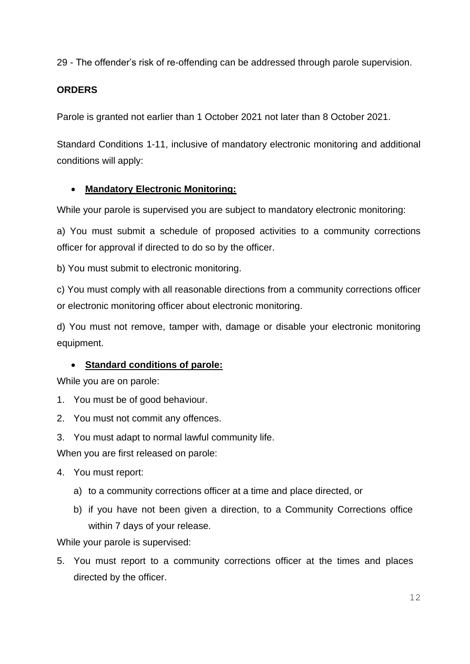29 - The offender's risk of re-offending can be addressed through parole supervision.

## **ORDERS**

Parole is granted not earlier than 1 October 2021 not later than 8 October 2021.

Standard Conditions 1-11, inclusive of mandatory electronic monitoring and additional conditions will apply:

## • **Mandatory Electronic Monitoring:**

While your parole is supervised you are subject to mandatory electronic monitoring:

a) You must submit a schedule of proposed activities to a community corrections officer for approval if directed to do so by the officer.

b) You must submit to electronic monitoring.

c) You must comply with all reasonable directions from a community corrections officer or electronic monitoring officer about electronic monitoring.

d) You must not remove, tamper with, damage or disable your electronic monitoring equipment.

## • **Standard conditions of parole:**

While you are on parole:

- 1. You must be of good behaviour.
- 2. You must not commit any offences.
- 3. You must adapt to normal lawful community life.

When you are first released on parole:

- 4. You must report:
	- a) to a community corrections officer at a time and place directed, or
	- b) if you have not been given a direction, to a Community Corrections office within 7 days of your release.

While your parole is supervised:

5. You must report to a community corrections officer at the times and places directed by the officer.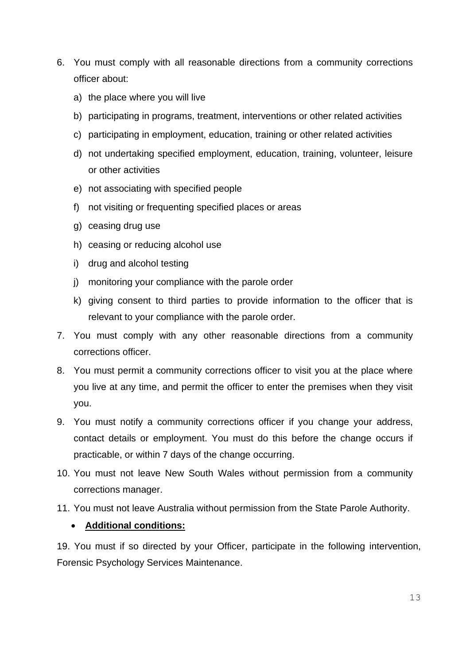- 6. You must comply with all reasonable directions from a community corrections officer about:
	- a) the place where you will live
	- b) participating in programs, treatment, interventions or other related activities
	- c) participating in employment, education, training or other related activities
	- d) not undertaking specified employment, education, training, volunteer, leisure or other activities
	- e) not associating with specified people
	- f) not visiting or frequenting specified places or areas
	- g) ceasing drug use
	- h) ceasing or reducing alcohol use
	- i) drug and alcohol testing
	- j) monitoring your compliance with the parole order
	- k) giving consent to third parties to provide information to the officer that is relevant to your compliance with the parole order.
- 7. You must comply with any other reasonable directions from a community corrections officer.
- 8. You must permit a community corrections officer to visit you at the place where you live at any time, and permit the officer to enter the premises when they visit you.
- 9. You must notify a community corrections officer if you change your address, contact details or employment. You must do this before the change occurs if practicable, or within 7 days of the change occurring.
- 10. You must not leave New South Wales without permission from a community corrections manager.
- 11. You must not leave Australia without permission from the State Parole Authority.

## • **Additional conditions:**

19. You must if so directed by your Officer, participate in the following intervention, Forensic Psychology Services Maintenance.